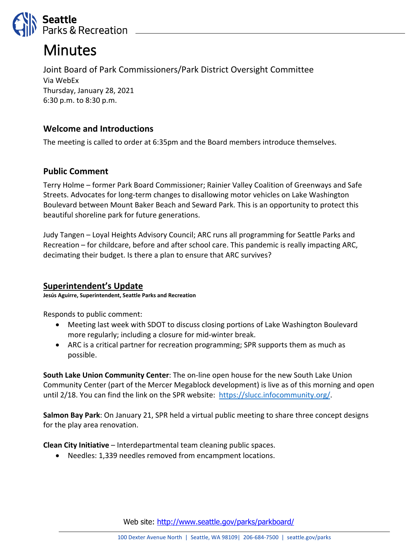

# Minutes

Joint Board of Park Commissioners/Park District Oversight Committee Via WebEx Thursday, January 28, 2021 6:30 p.m. to 8:30 p.m.

# **Welcome and Introductions**

The meeting is called to order at 6:35pm and the Board members introduce themselves.

# **Public Comment**

Terry Holme – former Park Board Commissioner; Rainier Valley Coalition of Greenways and Safe Streets. Advocates for long-term changes to disallowing motor vehicles on Lake Washington Boulevard between Mount Baker Beach and Seward Park. This is an opportunity to protect this beautiful shoreline park for future generations.

Judy Tangen – Loyal Heights Advisory Council; ARC runs all programming for Seattle Parks and Recreation – for childcare, before and after school care. This pandemic is really impacting ARC, decimating their budget. Is there a plan to ensure that ARC survives?

#### **Superintendent's Update**

**Jesús Aguirre, Superintendent, Seattle Parks and Recreation**

Responds to public comment:

- Meeting last week with SDOT to discuss closing portions of Lake Washington Boulevard more regularly; including a closure for mid-winter break.
- ARC is a critical partner for recreation programming; SPR supports them as much as possible.

**South Lake Union Community Center**: The on-line open house for the new South Lake Union Community Center (part of the Mercer Megablock development) is live as of this morning and open until 2/18. You can find the link on the SPR website: [https://slucc.infocommunity.org/.](https://slucc.infocommunity.org/)

**Salmon Bay Park**: On January 21, SPR held a virtual public meeting to share three concept designs for the play area renovation.

**Clean City Initiative** – Interdepartmental team cleaning public spaces.

• Needles: 1,339 needles removed from encampment locations.

Web site: <http://www.seattle.gov/parks/parkboard/>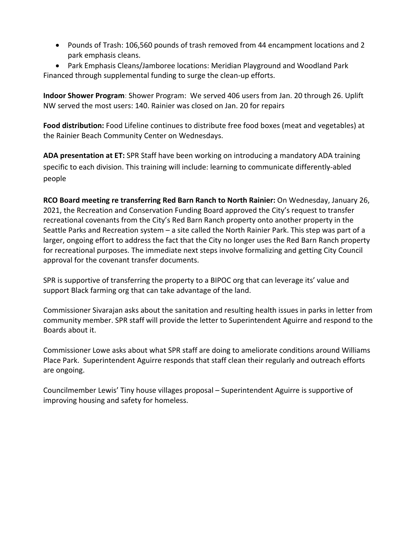• Pounds of Trash: 106,560 pounds of trash removed from 44 encampment locations and 2 park emphasis cleans.

• Park Emphasis Cleans/Jamboree locations: Meridian Playground and Woodland Park Financed through supplemental funding to surge the clean-up efforts.

**Indoor Shower Program**: Shower Program: We served 406 users from Jan. 20 through 26. Uplift NW served the most users: 140. Rainier was closed on Jan. 20 for repairs

**Food distribution:** Food Lifeline continues to distribute free food boxes (meat and vegetables) at the Rainier Beach Community Center on Wednesdays.

**ADA presentation at ET:** SPR Staff have been working on introducing a mandatory ADA training specific to each division. This training will include: learning to communicate differently-abled people

**RCO Board meeting re transferring Red Barn Ranch to North Rainier:** On Wednesday, January 26, 2021, the Recreation and Conservation Funding Board approved the City's request to transfer recreational covenants from the City's Red Barn Ranch property onto another property in the Seattle Parks and Recreation system – a site called the North Rainier Park. This step was part of a larger, ongoing effort to address the fact that the City no longer uses the Red Barn Ranch property for recreational purposes. The immediate next steps involve formalizing and getting City Council approval for the covenant transfer documents.

SPR is supportive of transferring the property to a BIPOC org that can leverage its' value and support Black farming org that can take advantage of the land.

Commissioner Sivarajan asks about the sanitation and resulting health issues in parks in letter from community member. SPR staff will provide the letter to Superintendent Aguirre and respond to the Boards about it.

Commissioner Lowe asks about what SPR staff are doing to ameliorate conditions around Williams Place Park. Superintendent Aguirre responds that staff clean their regularly and outreach efforts are ongoing.

Councilmember Lewis' Tiny house villages proposal – Superintendent Aguirre is supportive of improving housing and safety for homeless.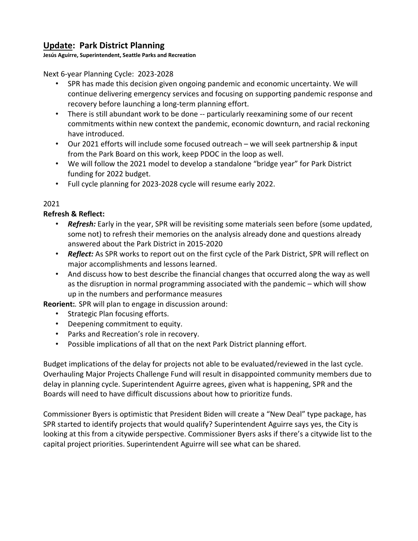# **Update: Park District Planning**

**Jesús Aguirre, Superintendent, Seattle Parks and Recreation**

Next 6-year Planning Cycle: 2023-2028

- SPR has made this decision given ongoing pandemic and economic uncertainty. We will continue delivering emergency services and focusing on supporting pandemic response and recovery before launching a long-term planning effort.
- There is still abundant work to be done -- particularly reexamining some of our recent commitments within new context the pandemic, economic downturn, and racial reckoning have introduced.
- Our 2021 efforts will include some focused outreach we will seek partnership & input from the Park Board on this work, keep PDOC in the loop as well.
- We will follow the 2021 model to develop a standalone "bridge year" for Park District funding for 2022 budget.
- Full cycle planning for 2023-2028 cycle will resume early 2022.

#### 2021

**Refresh & Reflect:**

- *Refresh:* Early in the year, SPR will be revisiting some materials seen before (some updated, some not) to refresh their memories on the analysis already done and questions already answered about the Park District in 2015-2020
- *Reflect:* As SPR works to report out on the first cycle of the Park District, SPR will reflect on major accomplishments and lessons learned.
- And discuss how to best describe the financial changes that occurred along the way as well as the disruption in normal programming associated with the pandemic – which will show up in the numbers and performance measures

**Reorient:***.* SPR will plan to engage in discussion around:

- Strategic Plan focusing efforts.
- Deepening commitment to equity.
- Parks and Recreation's role in recovery.
- Possible implications of all that on the next Park District planning effort.

Budget implications of the delay for projects not able to be evaluated/reviewed in the last cycle. Overhauling Major Projects Challenge Fund will result in disappointed community members due to delay in planning cycle. Superintendent Aguirre agrees, given what is happening, SPR and the Boards will need to have difficult discussions about how to prioritize funds.

Commissioner Byers is optimistic that President Biden will create a "New Deal" type package, has SPR started to identify projects that would qualify? Superintendent Aguirre says yes, the City is looking at this from a citywide perspective. Commissioner Byers asks if there's a citywide list to the capital project priorities. Superintendent Aguirre will see what can be shared.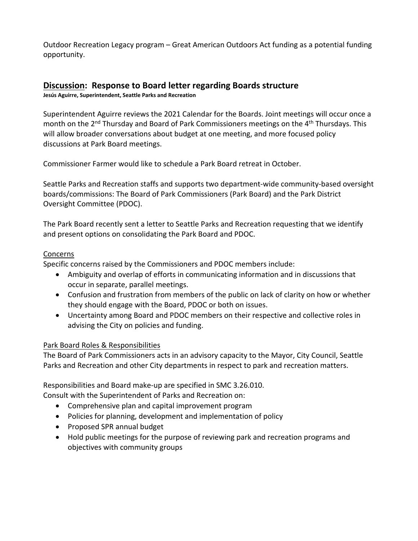Outdoor Recreation Legacy program – Great American Outdoors Act funding as a potential funding opportunity.

# **Discussion: Response to Board letter regarding Boards structure**

**Jesús Aguirre, Superintendent, Seattle Parks and Recreation**

Superintendent Aguirre reviews the 2021 Calendar for the Boards. Joint meetings will occur once a month on the 2<sup>nd</sup> Thursday and Board of Park Commissioners meetings on the 4<sup>th</sup> Thursdays. This will allow broader conversations about budget at one meeting, and more focused policy discussions at Park Board meetings.

Commissioner Farmer would like to schedule a Park Board retreat in October.

Seattle Parks and Recreation staffs and supports two department-wide community-based oversight boards/commissions: The Board of Park Commissioners (Park Board) and the Park District Oversight Committee (PDOC).

The Park Board recently sent a letter to Seattle Parks and Recreation requesting that we identify and present options on consolidating the Park Board and PDOC.

#### Concerns

Specific concerns raised by the Commissioners and PDOC members include:

- Ambiguity and overlap of efforts in communicating information and in discussions that occur in separate, parallel meetings.
- Confusion and frustration from members of the public on lack of clarity on how or whether they should engage with the Board, PDOC or both on issues.
- Uncertainty among Board and PDOC members on their respective and collective roles in advising the City on policies and funding.

# Park Board Roles & Responsibilities

The Board of Park Commissioners acts in an advisory capacity to the Mayor, City Council, Seattle Parks and Recreation and other City departments in respect to park and recreation matters.

Responsibilities and Board make-up are specified in SMC 3.26.010.

Consult with the Superintendent of Parks and Recreation on:

- Comprehensive plan and capital improvement program
- Policies for planning, development and implementation of policy
- Proposed SPR annual budget
- Hold public meetings for the purpose of reviewing park and recreation programs and objectives with community groups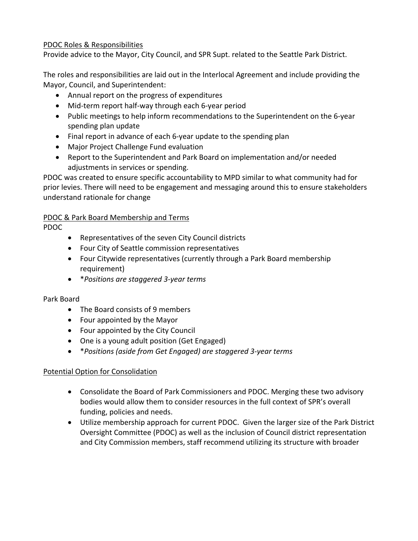## PDOC Roles & Responsibilities

Provide advice to the Mayor, City Council, and SPR Supt. related to the Seattle Park District.

The roles and responsibilities are laid out in the Interlocal Agreement and include providing the Mayor, Council, and Superintendent:

- Annual report on the progress of expenditures
- Mid-term report half-way through each 6-year period
- Public meetings to help inform recommendations to the Superintendent on the 6-year spending plan update
- Final report in advance of each 6-year update to the spending plan
- Major Project Challenge Fund evaluation
- Report to the Superintendent and Park Board on implementation and/or needed adjustments in services or spending.

PDOC was created to ensure specific accountability to MPD similar to what community had for prior levies. There will need to be engagement and messaging around this to ensure stakeholders understand rationale for change

#### PDOC & Park Board Membership and Terms

PDOC

- Representatives of the seven City Council districts
- Four City of Seattle commission representatives
- Four Citywide representatives (currently through a Park Board membership requirement)
- \**Positions are staggered 3-year terms*

#### Park Board

- The Board consists of 9 members
- Four appointed by the Mayor
- Four appointed by the City Council
- One is a young adult position (Get Engaged)
- \**Positions (aside from Get Engaged) are staggered 3-year terms*

#### Potential Option for Consolidation

- Consolidate the Board of Park Commissioners and PDOC. Merging these two advisory bodies would allow them to consider resources in the full context of SPR's overall funding, policies and needs.
- Utilize membership approach for current PDOC. Given the larger size of the Park District Oversight Committee (PDOC) as well as the inclusion of Council district representation and City Commission members, staff recommend utilizing its structure with broader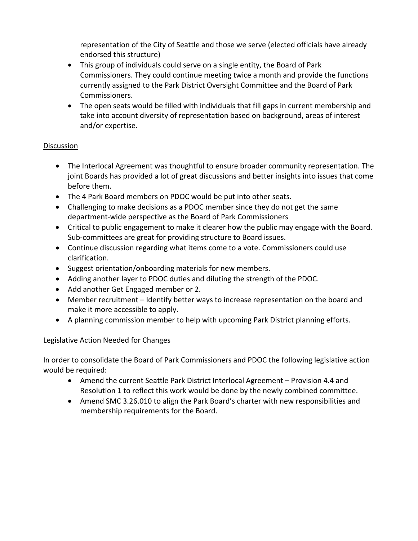representation of the City of Seattle and those we serve (elected officials have already endorsed this structure)

- This group of individuals could serve on a single entity, the Board of Park Commissioners. They could continue meeting twice a month and provide the functions currently assigned to the Park District Oversight Committee and the Board of Park Commissioners.
- The open seats would be filled with individuals that fill gaps in current membership and take into account diversity of representation based on background, areas of interest and/or expertise.

## Discussion

- The Interlocal Agreement was thoughtful to ensure broader community representation. The joint Boards has provided a lot of great discussions and better insights into issues that come before them.
- The 4 Park Board members on PDOC would be put into other seats.
- Challenging to make decisions as a PDOC member since they do not get the same department-wide perspective as the Board of Park Commissioners
- Critical to public engagement to make it clearer how the public may engage with the Board. Sub-committees are great for providing structure to Board issues.
- Continue discussion regarding what items come to a vote. Commissioners could use clarification.
- Suggest orientation/onboarding materials for new members.
- Adding another layer to PDOC duties and diluting the strength of the PDOC.
- Add another Get Engaged member or 2.
- Member recruitment Identify better ways to increase representation on the board and make it more accessible to apply.
- A planning commission member to help with upcoming Park District planning efforts.

# Legislative Action Needed for Changes

In order to consolidate the Board of Park Commissioners and PDOC the following legislative action would be required:

- Amend the current Seattle Park District Interlocal Agreement Provision 4.4 and Resolution 1 to reflect this work would be done by the newly combined committee.
- Amend SMC 3.26.010 to align the Park Board's charter with new responsibilities and membership requirements for the Board.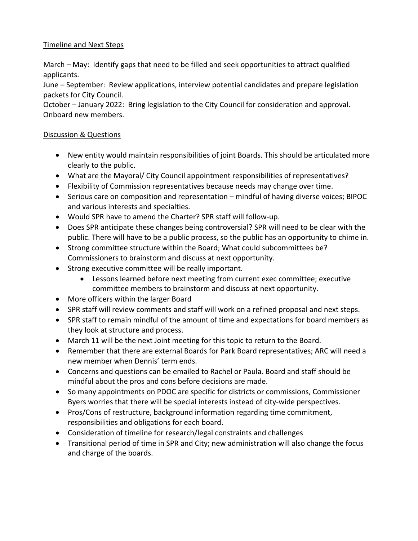## Timeline and Next Steps

March – May: Identify gaps that need to be filled and seek opportunities to attract qualified applicants.

June – September: Review applications, interview potential candidates and prepare legislation packets for City Council.

October – January 2022: Bring legislation to the City Council for consideration and approval. Onboard new members.

# Discussion & Questions

- New entity would maintain responsibilities of joint Boards. This should be articulated more clearly to the public.
- What are the Mayoral/ City Council appointment responsibilities of representatives?
- Flexibility of Commission representatives because needs may change over time.
- Serious care on composition and representation mindful of having diverse voices; BIPOC and various interests and specialties.
- Would SPR have to amend the Charter? SPR staff will follow-up.
- Does SPR anticipate these changes being controversial? SPR will need to be clear with the public. There will have to be a public process, so the public has an opportunity to chime in.
- Strong committee structure within the Board; What could subcommittees be? Commissioners to brainstorm and discuss at next opportunity.
- Strong executive committee will be really important.
	- Lessons learned before next meeting from current exec committee; executive committee members to brainstorm and discuss at next opportunity.
- More officers within the larger Board
- SPR staff will review comments and staff will work on a refined proposal and next steps.
- SPR staff to remain mindful of the amount of time and expectations for board members as they look at structure and process.
- March 11 will be the next Joint meeting for this topic to return to the Board.
- Remember that there are external Boards for Park Board representatives; ARC will need a new member when Dennis' term ends.
- Concerns and questions can be emailed to Rachel or Paula. Board and staff should be mindful about the pros and cons before decisions are made.
- So many appointments on PDOC are specific for districts or commissions, Commissioner Byers worries that there will be special interests instead of city-wide perspectives.
- Pros/Cons of restructure, background information regarding time commitment, responsibilities and obligations for each board.
- Consideration of timeline for research/legal constraints and challenges
- Transitional period of time in SPR and City; new administration will also change the focus and charge of the boards.